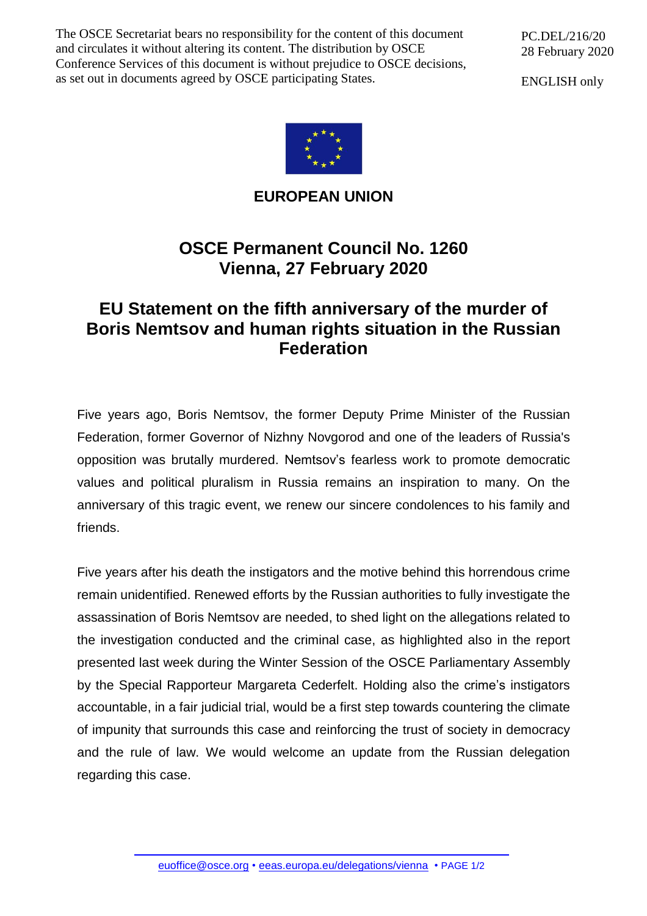The OSCE Secretariat bears no responsibility for the content of this document and circulates it without altering its content. The distribution by OSCE Conference Services of this document is without prejudice to OSCE decisions, as set out in documents agreed by OSCE participating States.

PC.DEL/216/20 28 February 2020

ENGLISH only



**EUROPEAN UNION**

## **OSCE Permanent Council No. 1260 Vienna, 27 February 2020**

## **EU Statement on the fifth anniversary of the murder of Boris Nemtsov and human rights situation in the Russian Federation**

Five years ago, Boris Nemtsov, the former Deputy Prime Minister of the Russian Federation, former Governor of Nizhny Novgorod and one of the leaders of Russia's opposition was brutally murdered. Nemtsov's fearless work to promote democratic values and political pluralism in Russia remains an inspiration to many. On the anniversary of this tragic event, we renew our sincere condolences to his family and friends.

Five years after his death the instigators and the motive behind this horrendous crime remain unidentified. Renewed efforts by the Russian authorities to fully investigate the assassination of Boris Nemtsov are needed, to shed light on the allegations related to the investigation conducted and the criminal case, as highlighted also in the report presented last week during the Winter Session of the OSCE Parliamentary Assembly by the Special Rapporteur Margareta Cederfelt. Holding also the crime's instigators accountable, in a fair judicial trial, would be a first step towards countering the climate of impunity that surrounds this case and reinforcing the trust of society in democracy and the rule of law. We would welcome an update from the Russian delegation regarding this case.